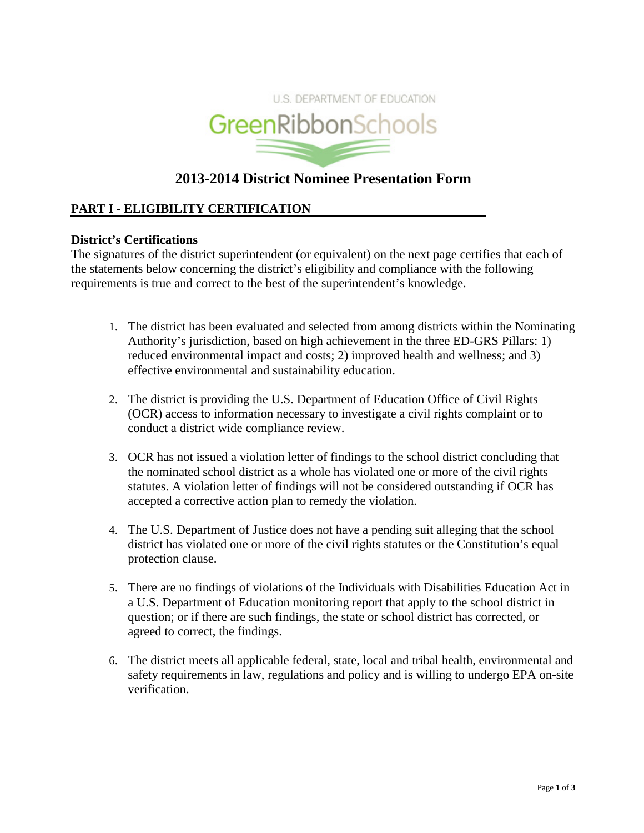

# **2013-2014 District Nominee Presentation Form**

## **PART I - ELIGIBILITY CERTIFICATION**

## **District's Certifications**

The signatures of the district superintendent (or equivalent) on the next page certifies that each of the statements below concerning the district's eligibility and compliance with the following requirements is true and correct to the best of the superintendent's knowledge.

- 1. The district has been evaluated and selected from among districts within the Nominating Authority's jurisdiction, based on high achievement in the three ED-GRS Pillars: 1) reduced environmental impact and costs; 2) improved health and wellness; and 3) effective environmental and sustainability education.
- 2. The district is providing the U.S. Department of Education Office of Civil Rights (OCR) access to information necessary to investigate a civil rights complaint or to conduct a district wide compliance review.
- 3. OCR has not issued a violation letter of findings to the school district concluding that the nominated school district as a whole has violated one or more of the civil rights statutes. A violation letter of findings will not be considered outstanding if OCR has accepted a corrective action plan to remedy the violation.
- 4. The U.S. Department of Justice does not have a pending suit alleging that the school district has violated one or more of the civil rights statutes or the Constitution's equal protection clause.
- 5. There are no findings of violations of the Individuals with Disabilities Education Act in a U.S. Department of Education monitoring report that apply to the school district in question; or if there are such findings, the state or school district has corrected, or agreed to correct, the findings.
- 6. The district meets all applicable federal, state, local and tribal health, environmental and safety requirements in law, regulations and policy and is willing to undergo EPA on-site verification.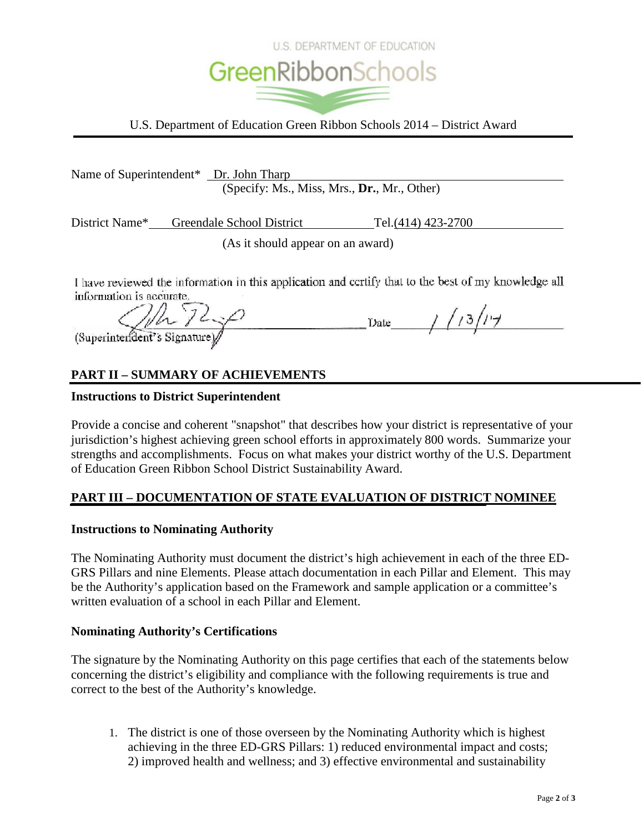

U.S. Department of Education Green Ribbon Schools 2014 – District Award

|                          | Name of Superintendent* <u>Dr. John Tharp</u> |                                                                                                      |
|--------------------------|-----------------------------------------------|------------------------------------------------------------------------------------------------------|
|                          | (Specify: Ms., Miss, Mrs., Dr., Mr., Other)   |                                                                                                      |
|                          | District Name* Greendale School District      | Tel. (414) 423-2700                                                                                  |
|                          | (As it should appear on an award)             |                                                                                                      |
| information is accurate. |                                               | I have reviewed the information in this application and certify that to the best of my knowledge all |

(Superintendent's Signature)

Date / / 13/14

# **PART II – SUMMARY OF ACHIEVEMENTS**

## **Instructions to District Superintendent**

Provide a concise and coherent "snapshot" that describes how your district is representative of your jurisdiction's highest achieving green school efforts in approximately 800 words. Summarize your strengths and accomplishments. Focus on what makes your district worthy of the U.S. Department of Education Green Ribbon School District Sustainability Award.

## **PART III – DOCUMENTATION OF STATE EVALUATION OF DISTRICT NOMINEE**

## **Instructions to Nominating Authority**

The Nominating Authority must document the district's high achievement in each of the three ED-GRS Pillars and nine Elements. Please attach documentation in each Pillar and Element. This may be the Authority's application based on the Framework and sample application or a committee's written evaluation of a school in each Pillar and Element.

## **Nominating Authority's Certifications**

The signature by the Nominating Authority on this page certifies that each of the statements below concerning the district's eligibility and compliance with the following requirements is true and correct to the best of the Authority's knowledge.

1. The district is one of those overseen by the Nominating Authority which is highest achieving in the three ED-GRS Pillars: 1) reduced environmental impact and costs; 2) improved health and wellness; and 3) effective environmental and sustainability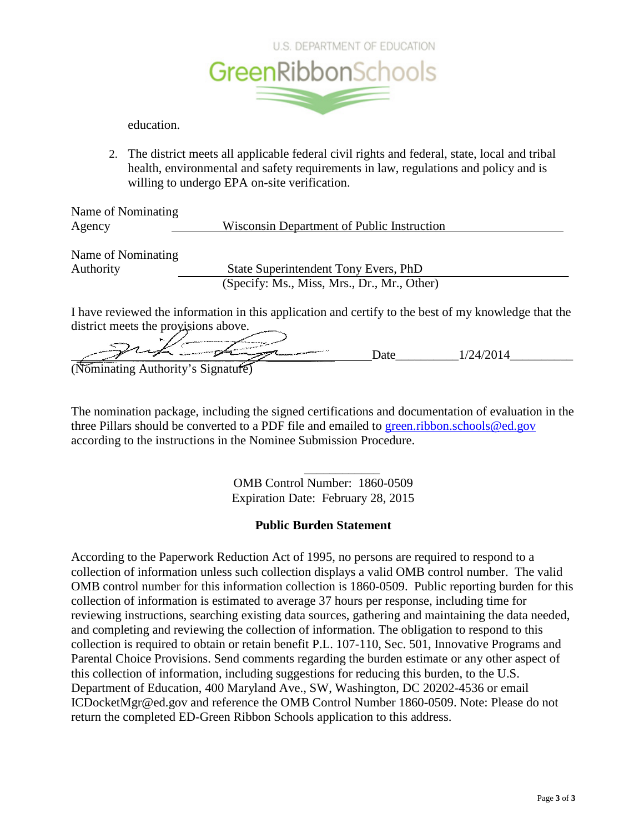

education.

2. The district meets all applicable federal civil rights and federal, state, local and tribal health, environmental and safety requirements in law, regulations and policy and is willing to undergo EPA on-site verification.

Name of Nominating Agency Wisconsin Department of Public Instruction

Name of Nominating

Authority State Superintendent Tony Evers, PhD (Specify: Ms., Miss, Mrs., Dr., Mr., Other)

I have reviewed the information in this application and certify to the best of my knowledge that the district meets the provisions above.

Date 1/24/2014

The nomination package, including the signed certifications and documentation of evaluation in the three Pillars should be converted to a PDF file and emailed to [green.ribbon.schools@ed.gov](mailto:green.ribbon.schools@ed.gov) according to the instructions in the Nominee Submission Procedure.

> \_\_\_\_\_\_\_\_\_\_\_\_ OMB Control Number: 1860-0509 Expiration Date: February 28, 2015

## **Public Burden Statement**

According to the Paperwork Reduction Act of 1995, no persons are required to respond to a collection of information unless such collection displays a valid OMB control number. The valid OMB control number for this information collection is 1860-0509. Public reporting burden for this collection of information is estimated to average 37 hours per response, including time for reviewing instructions, searching existing data sources, gathering and maintaining the data needed, and completing and reviewing the collection of information. The obligation to respond to this collection is required to obtain or retain benefit P.L. 107-110, Sec. 501, Innovative Programs and Parental Choice Provisions. Send comments regarding the burden estimate or any other aspect of this collection of information, including suggestions for reducing this burden, to the U.S. Department of Education, 400 Maryland Ave., SW, Washington, DC 20202-4536 or email ICDocketMgr@ed.gov and reference the OMB Control Number 1860-0509. Note: Please do not return the completed ED-Green Ribbon Schools application to this address.

<sup>(</sup>Nominating Authority's Signature)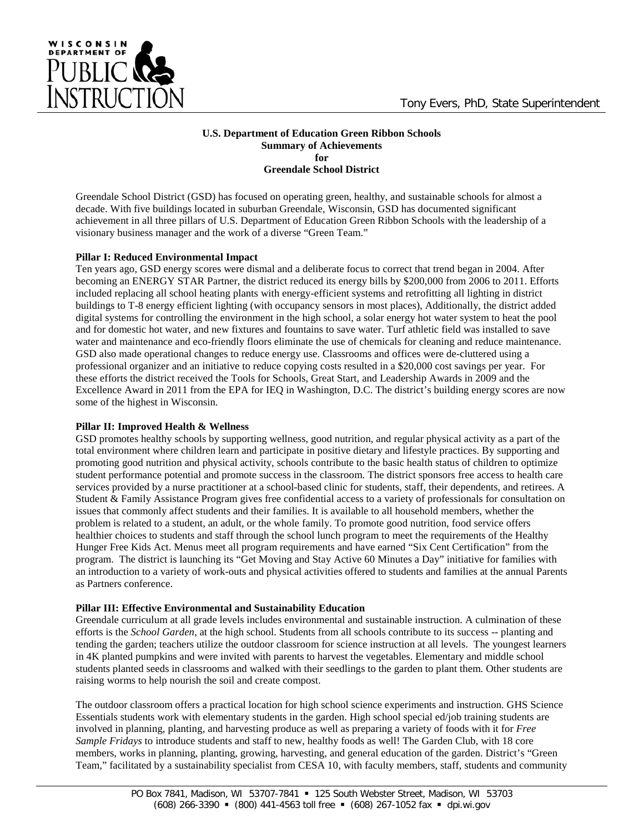

WISCONSIN

#### **U.S. Department of Education Green Ribbon Schools Summary of Achievements for Greendale School District**

Greendale School District (GSD) has focused on operating green, healthy, and sustainable schools for almost a decade. With five buildings located in suburban Greendale, Wisconsin, GSD has documented significant achievement in all three pillars of U.S. Department of Education Green Ribbon Schools with the leadership of a visionary business manager and the work of a diverse "Green Team."

#### **Pillar I: Reduced Environmental Impact**

Ten years ago, GSD energy scores were dismal and a deliberate focus to correct that trend began in 2004. After becoming an ENERGY STAR Partner, the district reduced its energy bills by \$200,000 from 2006 to 2011. Efforts included replacing all school heating plants with energy-efficient systems and retrofitting all lighting in district buildings to T-8 energy efficient lighting (with occupancy sensors in most places), Additionally, the district added digital systems for controlling the environment in the high school, a solar energy hot water system to heat the pool and for domestic hot water, and new fixtures and fountains to save water. Turf athletic field was installed to save water and maintenance and eco-friendly floors eliminate the use of chemicals for cleaning and reduce maintenance. GSD also made operational changes to reduce energy use. Classrooms and offices were de-cluttered using a professional organizer and an initiative to reduce copying costs resulted in a \$20,000 cost savings per year. For these efforts the district received the Tools for Schools, Great Start, and Leadership Awards in 2009 and the Excellence Award in 2011 from the EPA for IEQ in Washington, D.C. The district's building energy scores are now some of the highest in Wisconsin.

#### **Pillar II: Improved Health & Wellness**

GSD promotes healthy schools by supporting wellness, good nutrition, and regular physical activity as a part of the total environment where children learn and participate in positive dietary and lifestyle practices. By supporting and promoting good nutrition and physical activity, schools contribute to the basic health status of children to optimize student performance potential and promote success in the classroom. The district sponsors free access to health care services provided by a nurse practitioner at a school-based clinic for students, staff, their dependents, and retirees. A Student & Family Assistance Program gives free confidential access to a variety of professionals for consultation on issues that commonly affect students and their families. It is available to all household members, whether the problem is related to a student, an adult, or the whole family. To promote good nutrition, food service offers healthier choices to students and staff through the school lunch program to meet the requirements of the Healthy Hunger Free Kids Act. Menus meet all program requirements and have earned "Six Cent Certification" from the program. The district is launching its "Get Moving and Stay Active 60 Minutes a Day" initiative for families with an introduction to a variety of work-outs and physical activities offered to students and families at the annual Parents as Partners conference.

#### **Pillar III: Effective Environmental and Sustainability Education**

Greendale curriculum at all grade levels includes environmental and sustainable instruction. A culmination of these efforts is the *School Garden*, at the high school. Students from all schools contribute to its success -- planting and tending the garden; teachers utilize the outdoor classroom for science instruction at all levels. The youngest learners in 4K planted pumpkins and were invited with parents to harvest the vegetables. Elementary and middle school students planted seeds in classrooms and walked with their seedlings to the garden to plant them. Other students are raising worms to help nourish the soil and create compost.

The outdoor classroom offers a practical location for high school science experiments and instruction. GHS Science Essentials students work with elementary students in the garden. High school special ed/job training students are involved in planning, planting, and harvesting produce as well as preparing a variety of foods with it for *Free Sample Fridays* to introduce students and staff to new, healthy foods as well! The Garden Club, with 18 core members, works in planning, planting, growing, harvesting, and general education of the garden. District's "Green Team," facilitated by a sustainability specialist from CESA 10, with faculty members, staff, students and community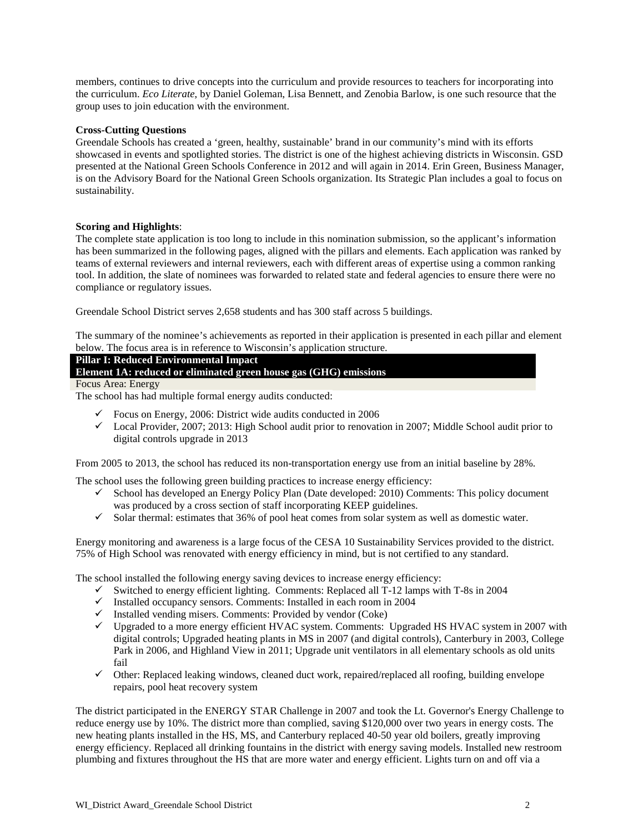members, continues to drive concepts into the curriculum and provide resources to teachers for incorporating into the curriculum. *Eco Literate*, by Daniel Goleman, Lisa Bennett, and Zenobia Barlow, is one such resource that the group uses to join education with the environment.

#### **Cross-Cutting Questions**

Greendale Schools has created a 'green, healthy, sustainable' brand in our community's mind with its efforts showcased in events and spotlighted stories. The district is one of the highest achieving districts in Wisconsin. GSD presented at the National Green Schools Conference in 2012 and will again in 2014. Erin Green, Business Manager, is on the Advisory Board for the National Green Schools organization. Its Strategic Plan includes a goal to focus on sustainability.

#### **Scoring and Highlights**:

The complete state application is too long to include in this nomination submission, so the applicant's information has been summarized in the following pages, aligned with the pillars and elements. Each application was ranked by teams of external reviewers and internal reviewers, each with different areas of expertise using a common ranking tool. In addition, the slate of nominees was forwarded to related state and federal agencies to ensure there were no compliance or regulatory issues.

Greendale School District serves 2,658 students and has 300 staff across 5 buildings.

The summary of the nominee's achievements as reported in their application is presented in each pillar and element below. The focus area is in reference to Wisconsin's application structure.

### **Pillar I: Reduced Environmental Impact**

**Element 1A: reduced or eliminated green house gas (GHG) emissions** 

Focus Area: Energy

The school has had multiple formal energy audits conducted:

- $\checkmark$  Focus on Energy, 2006: District wide audits conducted in 2006
- Local Provider, 2007; 2013: High School audit prior to renovation in 2007; Middle School audit prior to digital controls upgrade in 2013

From 2005 to 2013, the school has reduced its non-transportation energy use from an initial baseline by 28%.

The school uses the following green building practices to increase energy efficiency:

- $\checkmark$  School has developed an Energy Policy Plan (Date developed: 2010) Comments: This policy document was produced by a cross section of staff incorporating KEEP guidelines.
- $\checkmark$  Solar thermal: estimates that 36% of pool heat comes from solar system as well as domestic water.

Energy monitoring and awareness is a large focus of the CESA 10 Sustainability Services provided to the district. 75% of High School was renovated with energy efficiency in mind, but is not certified to any standard.

The school installed the following energy saving devices to increase energy efficiency:

- $\checkmark$  Switched to energy efficient lighting. Comments: Replaced all T-12 lamps with T-8s in 2004
- $\checkmark$  Installed occupancy sensors. Comments: Installed in each room in 2004
- $\checkmark$  Installed vending misers. Comments: Provided by vendor (Coke)
- Upgraded to a more energy efficient HVAC system. Comments: Upgraded HS HVAC system in 2007 with digital controls; Upgraded heating plants in MS in 2007 (and digital controls), Canterbury in 2003, College Park in 2006, and Highland View in 2011; Upgrade unit ventilators in all elementary schools as old units fail
- $\checkmark$  Other: Replaced leaking windows, cleaned duct work, repaired/replaced all roofing, building envelope repairs, pool heat recovery system

The district participated in the ENERGY STAR Challenge in 2007 and took the Lt. Governor's Energy Challenge to reduce energy use by 10%. The district more than complied, saving \$120,000 over two years in energy costs. The new heating plants installed in the HS, MS, and Canterbury replaced 40-50 year old boilers, greatly improving energy efficiency. Replaced all drinking fountains in the district with energy saving models. Installed new restroom plumbing and fixtures throughout the HS that are more water and energy efficient. Lights turn on and off via a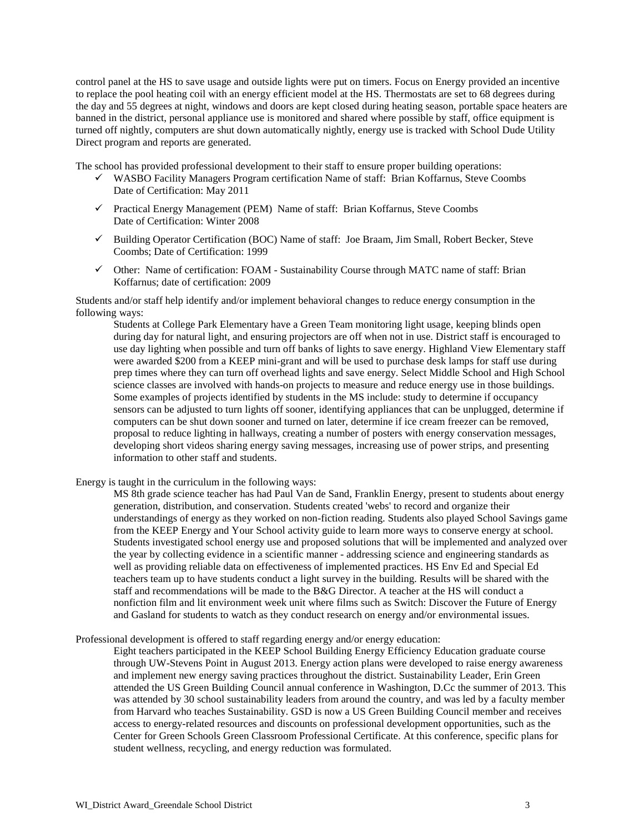control panel at the HS to save usage and outside lights were put on timers. Focus on Energy provided an incentive to replace the pool heating coil with an energy efficient model at the HS. Thermostats are set to 68 degrees during the day and 55 degrees at night, windows and doors are kept closed during heating season, portable space heaters are banned in the district, personal appliance use is monitored and shared where possible by staff, office equipment is turned off nightly, computers are shut down automatically nightly, energy use is tracked with School Dude Utility Direct program and reports are generated.

The school has provided professional development to their staff to ensure proper building operations:

- WASBO Facility Managers Program certification Name of staff: Brian Koffarnus, Steve Coombs Date of Certification: May 2011
- Practical Energy Management (PEM) Name of staff: Brian Koffarnus, Steve Coombs Date of Certification: Winter 2008
- $\checkmark$  Building Operator Certification (BOC) Name of staff: Joe Braam, Jim Small, Robert Becker, Steve Coombs; Date of Certification: 1999
- Other: Name of certification: FOAM Sustainability Course through MATC name of staff: Brian Koffarnus; date of certification: 2009

Students and/or staff help identify and/or implement behavioral changes to reduce energy consumption in the following ways:

Students at College Park Elementary have a Green Team monitoring light usage, keeping blinds open during day for natural light, and ensuring projectors are off when not in use. District staff is encouraged to use day lighting when possible and turn off banks of lights to save energy. Highland View Elementary staff were awarded \$200 from a KEEP mini-grant and will be used to purchase desk lamps for staff use during prep times where they can turn off overhead lights and save energy. Select Middle School and High School science classes are involved with hands-on projects to measure and reduce energy use in those buildings. Some examples of projects identified by students in the MS include: study to determine if occupancy sensors can be adjusted to turn lights off sooner, identifying appliances that can be unplugged, determine if computers can be shut down sooner and turned on later, determine if ice cream freezer can be removed, proposal to reduce lighting in hallways, creating a number of posters with energy conservation messages, developing short videos sharing energy saving messages, increasing use of power strips, and presenting information to other staff and students.

Energy is taught in the curriculum in the following ways:

MS 8th grade science teacher has had Paul Van de Sand, Franklin Energy, present to students about energy generation, distribution, and conservation. Students created 'webs' to record and organize their understandings of energy as they worked on non-fiction reading. Students also played School Savings game from the KEEP Energy and Your School activity guide to learn more ways to conserve energy at school. Students investigated school energy use and proposed solutions that will be implemented and analyzed over the year by collecting evidence in a scientific manner - addressing science and engineering standards as well as providing reliable data on effectiveness of implemented practices. HS Env Ed and Special Ed teachers team up to have students conduct a light survey in the building. Results will be shared with the staff and recommendations will be made to the B&G Director. A teacher at the HS will conduct a nonfiction film and lit environment week unit where films such as Switch: Discover the Future of Energy and Gasland for students to watch as they conduct research on energy and/or environmental issues.

Professional development is offered to staff regarding energy and/or energy education:

Eight teachers participated in the KEEP School Building Energy Efficiency Education graduate course through UW-Stevens Point in August 2013. Energy action plans were developed to raise energy awareness and implement new energy saving practices throughout the district. Sustainability Leader, Erin Green attended the US Green Building Council annual conference in Washington, D.Cc the summer of 2013. This was attended by 30 school sustainability leaders from around the country, and was led by a faculty member from Harvard who teaches Sustainability. GSD is now a US Green Building Council member and receives access to energy-related resources and discounts on professional development opportunities, such as the Center for Green Schools Green Classroom Professional Certificate. At this conference, specific plans for student wellness, recycling, and energy reduction was formulated.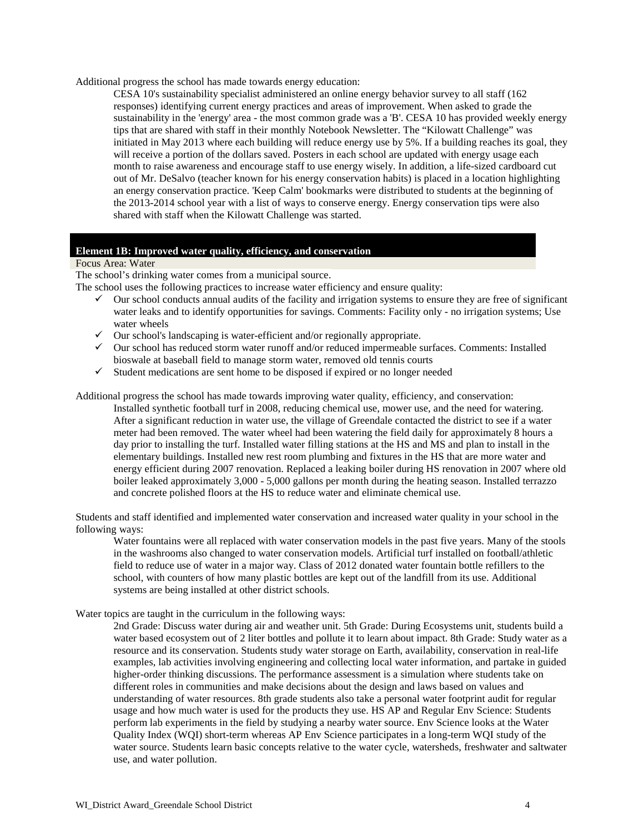Additional progress the school has made towards energy education:

CESA 10's sustainability specialist administered an online energy behavior survey to all staff (162 responses) identifying current energy practices and areas of improvement. When asked to grade the sustainability in the 'energy' area - the most common grade was a 'B'. CESA 10 has provided weekly energy tips that are shared with staff in their monthly Notebook Newsletter. The "Kilowatt Challenge" was initiated in May 2013 where each building will reduce energy use by 5%. If a building reaches its goal, they will receive a portion of the dollars saved. Posters in each school are updated with energy usage each month to raise awareness and encourage staff to use energy wisely. In addition, a life-sized cardboard cut out of Mr. DeSalvo (teacher known for his energy conservation habits) is placed in a location highlighting an energy conservation practice. 'Keep Calm' bookmarks were distributed to students at the beginning of the 2013-2014 school year with a list of ways to conserve energy. Energy conservation tips were also shared with staff when the Kilowatt Challenge was started.

#### **Element 1B: Improved water quality, efficiency, and conservation**

Focus Area: Water

The school's drinking water comes from a municipal source.

The school uses the following practices to increase water efficiency and ensure quality:

- $\checkmark$  Our school conducts annual audits of the facility and irrigation systems to ensure they are free of significant water leaks and to identify opportunities for savings. Comments: Facility only - no irrigation systems; Use water wheels
- $\checkmark$  Our school's landscaping is water-efficient and/or regionally appropriate.
- $\checkmark$  Our school has reduced storm water runoff and/or reduced impermeable surfaces. Comments: Installed bioswale at baseball field to manage storm water, removed old tennis courts
- $\checkmark$  Student medications are sent home to be disposed if expired or no longer needed

Additional progress the school has made towards improving water quality, efficiency, and conservation:

Installed synthetic football turf in 2008, reducing chemical use, mower use, and the need for watering. After a significant reduction in water use, the village of Greendale contacted the district to see if a water meter had been removed. The water wheel had been watering the field daily for approximately 8 hours a day prior to installing the turf. Installed water filling stations at the HS and MS and plan to install in the elementary buildings. Installed new rest room plumbing and fixtures in the HS that are more water and energy efficient during 2007 renovation. Replaced a leaking boiler during HS renovation in 2007 where old boiler leaked approximately 3,000 - 5,000 gallons per month during the heating season. Installed terrazzo and concrete polished floors at the HS to reduce water and eliminate chemical use.

Students and staff identified and implemented water conservation and increased water quality in your school in the following ways:

Water fountains were all replaced with water conservation models in the past five years. Many of the stools in the washrooms also changed to water conservation models. Artificial turf installed on football/athletic field to reduce use of water in a major way. Class of 2012 donated water fountain bottle refillers to the school, with counters of how many plastic bottles are kept out of the landfill from its use. Additional systems are being installed at other district schools.

Water topics are taught in the curriculum in the following ways:

2nd Grade: Discuss water during air and weather unit. 5th Grade: During Ecosystems unit, students build a water based ecosystem out of 2 liter bottles and pollute it to learn about impact. 8th Grade: Study water as a resource and its conservation. Students study water storage on Earth, availability, conservation in real-life examples, lab activities involving engineering and collecting local water information, and partake in guided higher-order thinking discussions. The performance assessment is a simulation where students take on different roles in communities and make decisions about the design and laws based on values and understanding of water resources. 8th grade students also take a personal water footprint audit for regular usage and how much water is used for the products they use. HS AP and Regular Env Science: Students perform lab experiments in the field by studying a nearby water source. Env Science looks at the Water Quality Index (WQI) short-term whereas AP Env Science participates in a long-term WQI study of the water source. Students learn basic concepts relative to the water cycle, watersheds, freshwater and saltwater use, and water pollution.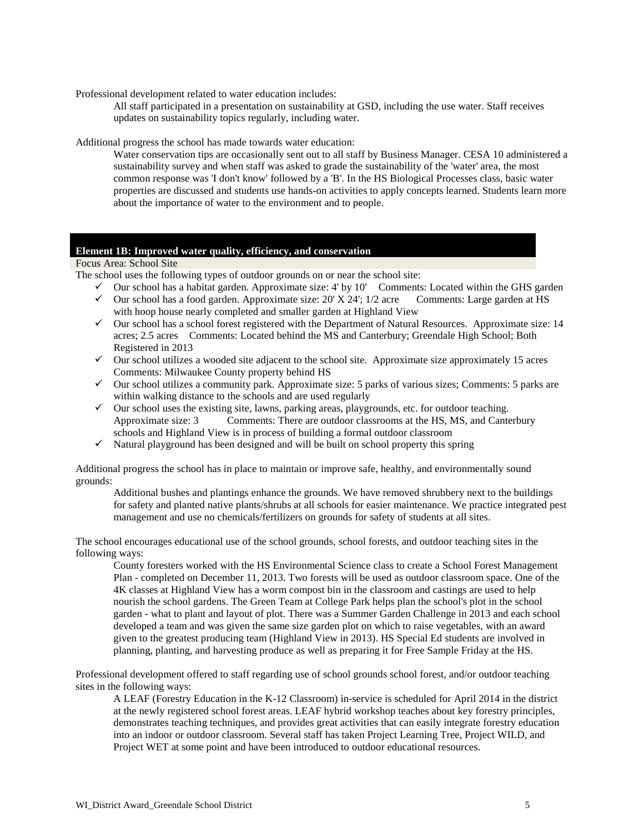Professional development related to water education includes:

All staff participated in a presentation on sustainability at GSD, including the use water. Staff receives updates on sustainability topics regularly, including water.

Additional progress the school has made towards water education:

Water conservation tips are occasionally sent out to all staff by Business Manager. CESA 10 administered a sustainability survey and when staff was asked to grade the sustainability of the 'water' area, the most common response was 'I don't know' followed by a 'B'. In the HS Biological Processes class, basic water properties are discussed and students use hands-on activities to apply concepts learned. Students learn more about the importance of water to the environment and to people.

#### **Element 1B: Improved water quality, efficiency, and conservation**

Focus Area: School Site

The school uses the following types of outdoor grounds on or near the school site:

- $\checkmark$  Our school has a habitat garden. Approximate size: 4' by 10' Comments: Located within the GHS garden
- $\checkmark$  Our school has a food garden. Approximate size: 20' X 24'; 1/2 acre Comments: Large garden at HS with hoop house nearly completed and smaller garden at Highland View
- $\checkmark$  Our school has a school forest registered with the Department of Natural Resources. Approximate size: 14 acres; 2.5 acres Comments: Located behind the MS and Canterbury; Greendale High School; Both Registered in 2013
- $\checkmark$  Our school utilizes a wooded site adjacent to the school site. Approximate size approximately 15 acres Comments: Milwaukee County property behind HS
- $\checkmark$  Our school utilizes a community park. Approximate size: 5 parks of various sizes; Comments: 5 parks are within walking distance to the schools and are used regularly
- $\checkmark$  Our school uses the existing site, lawns, parking areas, playgrounds, etc. for outdoor teaching. Approximate size: 3 Comments: There are outdoor classrooms at the HS, MS, and Canterbury schools and Highland View is in process of building a formal outdoor classroom
- $\checkmark$  Natural playground has been designed and will be built on school property this spring

Additional progress the school has in place to maintain or improve safe, healthy, and environmentally sound grounds:

Additional bushes and plantings enhance the grounds. We have removed shrubbery next to the buildings for safety and planted native plants/shrubs at all schools for easier maintenance. We practice integrated pest management and use no chemicals/fertilizers on grounds for safety of students at all sites.

The school encourages educational use of the school grounds, school forests, and outdoor teaching sites in the following ways:

County foresters worked with the HS Environmental Science class to create a School Forest Management Plan - completed on December 11, 2013. Two forests will be used as outdoor classroom space. One of the 4K classes at Highland View has a worm compost bin in the classroom and castings are used to help nourish the school gardens. The Green Team at College Park helps plan the school's plot in the school garden - what to plant and layout of plot. There was a Summer Garden Challenge in 2013 and each school developed a team and was given the same size garden plot on which to raise vegetables, with an award given to the greatest producing team (Highland View in 2013). HS Special Ed students are involved in planning, planting, and harvesting produce as well as preparing it for Free Sample Friday at the HS.

Professional development offered to staff regarding use of school grounds school forest, and/or outdoor teaching sites in the following ways:

A LEAF (Forestry Education in the K-12 Classroom) in-service is scheduled for April 2014 in the district at the newly registered school forest areas. LEAF hybrid workshop teaches about key forestry principles, demonstrates teaching techniques, and provides great activities that can easily integrate forestry education into an indoor or outdoor classroom. Several staff has taken Project Learning Tree, Project WILD, and Project WET at some point and have been introduced to outdoor educational resources.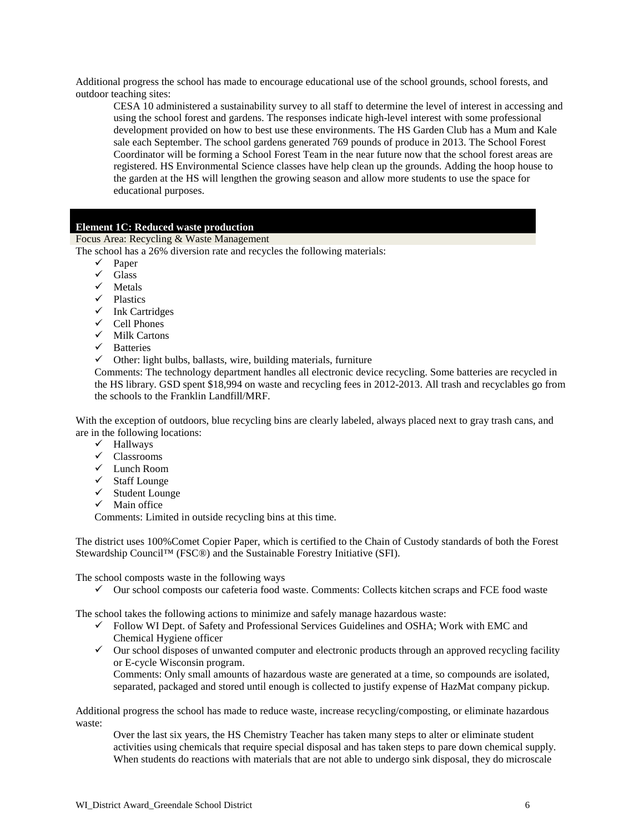Additional progress the school has made to encourage educational use of the school grounds, school forests, and outdoor teaching sites:

CESA 10 administered a sustainability survey to all staff to determine the level of interest in accessing and using the school forest and gardens. The responses indicate high-level interest with some professional development provided on how to best use these environments. The HS Garden Club has a Mum and Kale sale each September. The school gardens generated 769 pounds of produce in 2013. The School Forest Coordinator will be forming a School Forest Team in the near future now that the school forest areas are registered. HS Environmental Science classes have help clean up the grounds. Adding the hoop house to the garden at the HS will lengthen the growing season and allow more students to use the space for educational purposes.

#### **Element 1C: Reduced waste production**

Focus Area: Recycling & Waste Management

The school has a 26% diversion rate and recycles the following materials:

- $\checkmark$  Paper
- $\checkmark$  Glass
- $\checkmark$  Metals
- $\checkmark$  Plastics
- $\checkmark$  Ink Cartridges
- $\checkmark$  Cell Phones
- $\checkmark$  Milk Cartons
- $\checkmark$  Batteries
- $\checkmark$  Other: light bulbs, ballasts, wire, building materials, furniture

Comments: The technology department handles all electronic device recycling. Some batteries are recycled in the HS library. GSD spent \$18,994 on waste and recycling fees in 2012-2013. All trash and recyclables go from the schools to the Franklin Landfill/MRF.

With the exception of outdoors, blue recycling bins are clearly labeled, always placed next to gray trash cans, and are in the following locations:

- Hallways
- Classrooms
- Lunch Room
- $\checkmark$  Staff Lounge
- $\checkmark$  Student Lounge
- $\checkmark$  Main office

Comments: Limited in outside recycling bins at this time.

The district uses 100%Comet Copier Paper, which is certified to the Chain of Custody standards of both the Forest Stewardship Council™ (FSC®) and the Sustainable Forestry Initiative (SFI).

The school composts waste in the following ways

 $\checkmark$  Our school composts our cafeteria food waste. Comments: Collects kitchen scraps and FCE food waste

The school takes the following actions to minimize and safely manage hazardous waste:

- $\checkmark$  Follow WI Dept. of Safety and Professional Services Guidelines and OSHA; Work with EMC and Chemical Hygiene officer
- $\checkmark$  Our school disposes of unwanted computer and electronic products through an approved recycling facility or E-cycle Wisconsin program.

Comments: Only small amounts of hazardous waste are generated at a time, so compounds are isolated, separated, packaged and stored until enough is collected to justify expense of HazMat company pickup.

Additional progress the school has made to reduce waste, increase recycling/composting, or eliminate hazardous waste:

Over the last six years, the HS Chemistry Teacher has taken many steps to alter or eliminate student activities using chemicals that require special disposal and has taken steps to pare down chemical supply. When students do reactions with materials that are not able to undergo sink disposal, they do microscale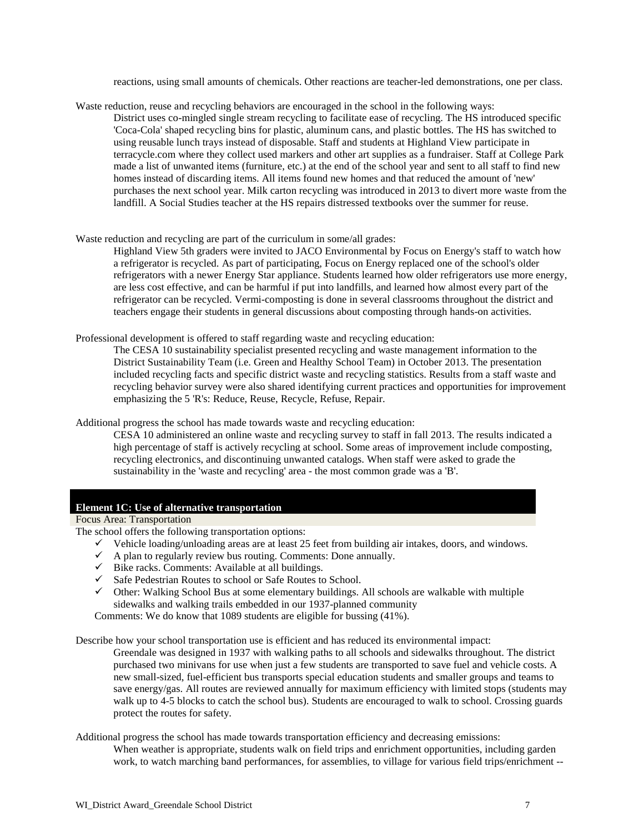reactions, using small amounts of chemicals. Other reactions are teacher-led demonstrations, one per class.

Waste reduction, reuse and recycling behaviors are encouraged in the school in the following ways: District uses co-mingled single stream recycling to facilitate ease of recycling. The HS introduced specific 'Coca-Cola' shaped recycling bins for plastic, aluminum cans, and plastic bottles. The HS has switched to using reusable lunch trays instead of disposable. Staff and students at Highland View participate in terracycle.com where they collect used markers and other art supplies as a fundraiser. Staff at College Park made a list of unwanted items (furniture, etc.) at the end of the school year and sent to all staff to find new homes instead of discarding items. All items found new homes and that reduced the amount of 'new' purchases the next school year. Milk carton recycling was introduced in 2013 to divert more waste from the landfill. A Social Studies teacher at the HS repairs distressed textbooks over the summer for reuse.

Waste reduction and recycling are part of the curriculum in some/all grades:

Highland View 5th graders were invited to JACO Environmental by Focus on Energy's staff to watch how a refrigerator is recycled. As part of participating, Focus on Energy replaced one of the school's older refrigerators with a newer Energy Star appliance. Students learned how older refrigerators use more energy, are less cost effective, and can be harmful if put into landfills, and learned how almost every part of the refrigerator can be recycled. Vermi-composting is done in several classrooms throughout the district and teachers engage their students in general discussions about composting through hands-on activities.

Professional development is offered to staff regarding waste and recycling education:

The CESA 10 sustainability specialist presented recycling and waste management information to the District Sustainability Team (i.e. Green and Healthy School Team) in October 2013. The presentation included recycling facts and specific district waste and recycling statistics. Results from a staff waste and recycling behavior survey were also shared identifying current practices and opportunities for improvement emphasizing the 5 'R's: Reduce, Reuse, Recycle, Refuse, Repair.

Additional progress the school has made towards waste and recycling education:

CESA 10 administered an online waste and recycling survey to staff in fall 2013. The results indicated a high percentage of staff is actively recycling at school. Some areas of improvement include composting, recycling electronics, and discontinuing unwanted catalogs. When staff were asked to grade the sustainability in the 'waste and recycling' area - the most common grade was a 'B'.

#### **Element 1C: Use of alternative transportation**

Focus Area: Transportation

The school offers the following transportation options:

- $\checkmark$  Vehicle loading/unloading areas are at least 25 feet from building air intakes, doors, and windows.
- $\checkmark$  A plan to regularly review bus routing. Comments: Done annually.
- $\checkmark$  Bike racks. Comments: Available at all buildings.
- $\checkmark$  Safe Pedestrian Routes to school or Safe Routes to School.
- $\checkmark$  Other: Walking School Bus at some elementary buildings. All schools are walkable with multiple sidewalks and walking trails embedded in our 1937-planned community

Comments: We do know that 1089 students are eligible for bussing (41%).

Describe how your school transportation use is efficient and has reduced its environmental impact:

Greendale was designed in 1937 with walking paths to all schools and sidewalks throughout. The district purchased two minivans for use when just a few students are transported to save fuel and vehicle costs. A new small-sized, fuel-efficient bus transports special education students and smaller groups and teams to save energy/gas. All routes are reviewed annually for maximum efficiency with limited stops (students may walk up to 4-5 blocks to catch the school bus). Students are encouraged to walk to school. Crossing guards protect the routes for safety.

Additional progress the school has made towards transportation efficiency and decreasing emissions:

When weather is appropriate, students walk on field trips and enrichment opportunities, including garden work, to watch marching band performances, for assemblies, to village for various field trips/enrichment --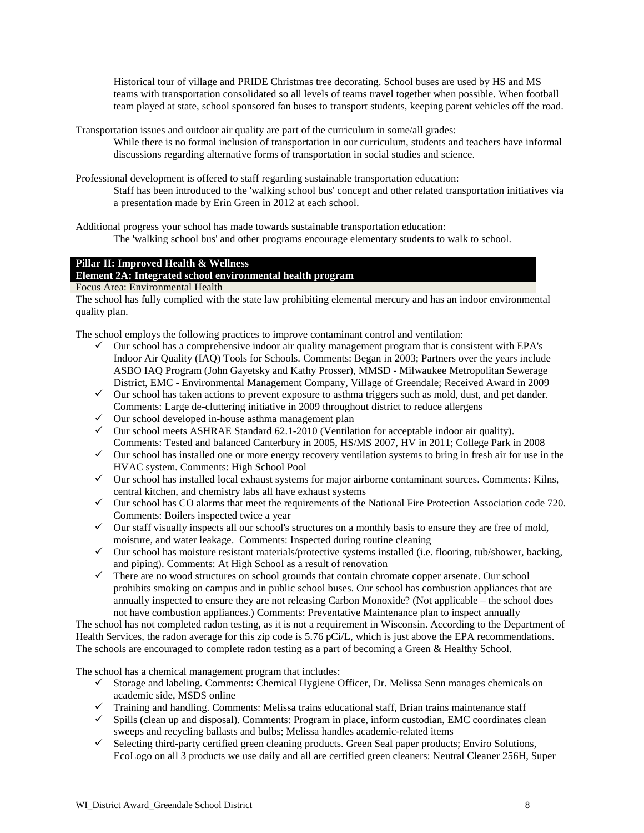Historical tour of village and PRIDE Christmas tree decorating. School buses are used by HS and MS teams with transportation consolidated so all levels of teams travel together when possible. When football team played at state, school sponsored fan buses to transport students, keeping parent vehicles off the road.

Transportation issues and outdoor air quality are part of the curriculum in some/all grades:

While there is no formal inclusion of transportation in our curriculum, students and teachers have informal discussions regarding alternative forms of transportation in social studies and science.

Professional development is offered to staff regarding sustainable transportation education: Staff has been introduced to the 'walking school bus' concept and other related transportation initiatives via a presentation made by Erin Green in 2012 at each school.

Additional progress your school has made towards sustainable transportation education: The 'walking school bus' and other programs encourage elementary students to walk to school.

#### **Pillar II: Improved Health & Wellness**

**Element 2A: Integrated school environmental health program**

Focus Area: Environmental Health

The school has fully complied with the state law prohibiting elemental mercury and has an indoor environmental quality plan.

The school employs the following practices to improve contaminant control and ventilation:

- $\checkmark$  Our school has a comprehensive indoor air quality management program that is consistent with EPA's Indoor Air Quality (IAQ) Tools for Schools. Comments: Began in 2003; Partners over the years include ASBO IAQ Program (John Gayetsky and Kathy Prosser), MMSD - Milwaukee Metropolitan Sewerage District, EMC - Environmental Management Company, Village of Greendale; Received Award in 2009
- $\checkmark$  Our school has taken actions to prevent exposure to asthma triggers such as mold, dust, and pet dander. Comments: Large de-cluttering initiative in 2009 throughout district to reduce allergens
- $\checkmark$  Our school developed in-house asthma management plan
- $\checkmark$  Our school meets ASHRAE Standard 62.1-2010 (Ventilation for acceptable indoor air quality). Comments: Tested and balanced Canterbury in 2005, HS/MS 2007, HV in 2011; College Park in 2008
- $\checkmark$  Our school has installed one or more energy recovery ventilation systems to bring in fresh air for use in the HVAC system. Comments: High School Pool
- $\checkmark$  Our school has installed local exhaust systems for major airborne contaminant sources. Comments: Kilns, central kitchen, and chemistry labs all have exhaust systems
- $\checkmark$  Our school has CO alarms that meet the requirements of the National Fire Protection Association code 720. Comments: Boilers inspected twice a year
- $\checkmark$  Our staff visually inspects all our school's structures on a monthly basis to ensure they are free of mold, moisture, and water leakage. Comments: Inspected during routine cleaning
- $\checkmark$  Our school has moisture resistant materials/protective systems installed (i.e. flooring, tub/shower, backing, and piping). Comments: At High School as a result of renovation
- $\checkmark$  There are no wood structures on school grounds that contain chromate copper arsenate. Our school prohibits smoking on campus and in public school buses. Our school has combustion appliances that are annually inspected to ensure they are not releasing Carbon Monoxide? (Not applicable – the school does not have combustion appliances.) Comments: Preventative Maintenance plan to inspect annually

The school has not completed radon testing, as it is not a requirement in Wisconsin. According to the Department of Health Services, the radon average for this zip code is 5.76 pCi/L, which is just above the EPA recommendations. The schools are encouraged to complete radon testing as a part of becoming a Green & Healthy School.

The school has a chemical management program that includes:

- $\checkmark$  Storage and labeling. Comments: Chemical Hygiene Officer, Dr. Melissa Senn manages chemicals on academic side, MSDS online
- $\checkmark$  Training and handling. Comments: Melissa trains educational staff, Brian trains maintenance staff
- $\checkmark$  Spills (clean up and disposal). Comments: Program in place, inform custodian, EMC coordinates clean sweeps and recycling ballasts and bulbs; Melissa handles academic-related items
- $\checkmark$  Selecting third-party certified green cleaning products. Green Seal paper products; Enviro Solutions, EcoLogo on all 3 products we use daily and all are certified green cleaners: Neutral Cleaner 256H, Super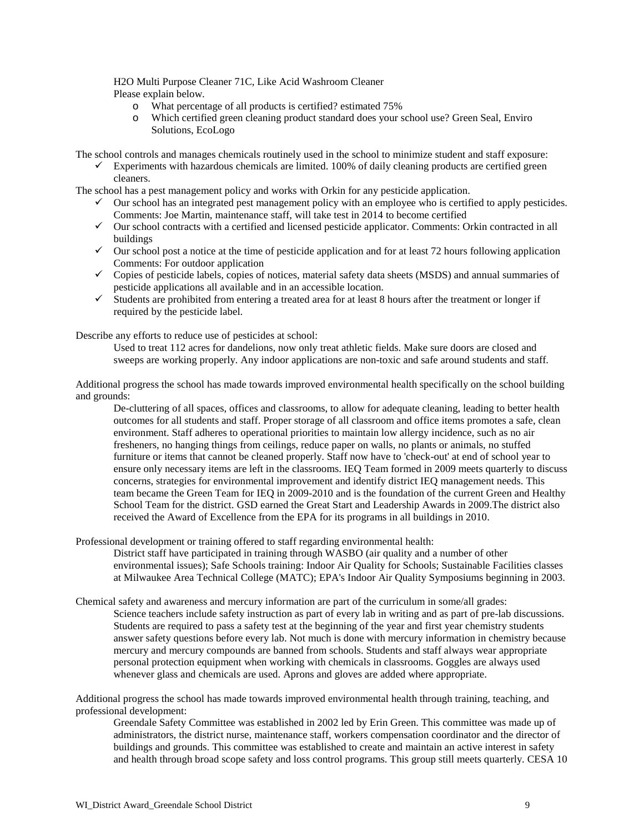#### H2O Multi Purpose Cleaner 71C, Like Acid Washroom Cleaner Please explain below.

- o What percentage of all products is certified? estimated 75%
- Which certified green cleaning product standard does your school use? Green Seal, Enviro Solutions, EcoLogo

The school controls and manages chemicals routinely used in the school to minimize student and staff exposure:

 $\checkmark$  Experiments with hazardous chemicals are limited. 100% of daily cleaning products are certified green cleaners.

The school has a pest management policy and works with Orkin for any pesticide application.

- $\checkmark$  Our school has an integrated pest management policy with an employee who is certified to apply pesticides. Comments: Joe Martin, maintenance staff, will take test in 2014 to become certified
- $\checkmark$  Our school contracts with a certified and licensed pesticide applicator. Comments: Orkin contracted in all buildings
- $\checkmark$  Our school post a notice at the time of pesticide application and for at least 72 hours following application Comments: For outdoor application
- $\checkmark$  Copies of pesticide labels, copies of notices, material safety data sheets (MSDS) and annual summaries of pesticide applications all available and in an accessible location.
- $\checkmark$  Students are prohibited from entering a treated area for at least 8 hours after the treatment or longer if required by the pesticide label.

Describe any efforts to reduce use of pesticides at school:

Used to treat 112 acres for dandelions, now only treat athletic fields. Make sure doors are closed and sweeps are working properly. Any indoor applications are non-toxic and safe around students and staff.

Additional progress the school has made towards improved environmental health specifically on the school building and grounds:

De-cluttering of all spaces, offices and classrooms, to allow for adequate cleaning, leading to better health outcomes for all students and staff. Proper storage of all classroom and office items promotes a safe, clean environment. Staff adheres to operational priorities to maintain low allergy incidence, such as no air fresheners, no hanging things from ceilings, reduce paper on walls, no plants or animals, no stuffed furniture or items that cannot be cleaned properly. Staff now have to 'check-out' at end of school year to ensure only necessary items are left in the classrooms. IEQ Team formed in 2009 meets quarterly to discuss concerns, strategies for environmental improvement and identify district IEQ management needs. This team became the Green Team for IEQ in 2009-2010 and is the foundation of the current Green and Healthy School Team for the district. GSD earned the Great Start and Leadership Awards in 2009.The district also received the Award of Excellence from the EPA for its programs in all buildings in 2010.

Professional development or training offered to staff regarding environmental health:

District staff have participated in training through WASBO (air quality and a number of other environmental issues); Safe Schools training: Indoor Air Quality for Schools; Sustainable Facilities classes at Milwaukee Area Technical College (MATC); EPA's Indoor Air Quality Symposiums beginning in 2003.

Chemical safety and awareness and mercury information are part of the curriculum in some/all grades:

Science teachers include safety instruction as part of every lab in writing and as part of pre-lab discussions. Students are required to pass a safety test at the beginning of the year and first year chemistry students answer safety questions before every lab. Not much is done with mercury information in chemistry because mercury and mercury compounds are banned from schools. Students and staff always wear appropriate personal protection equipment when working with chemicals in classrooms. Goggles are always used whenever glass and chemicals are used. Aprons and gloves are added where appropriate.

Additional progress the school has made towards improved environmental health through training, teaching, and professional development:

Greendale Safety Committee was established in 2002 led by Erin Green. This committee was made up of administrators, the district nurse, maintenance staff, workers compensation coordinator and the director of buildings and grounds. This committee was established to create and maintain an active interest in safety and health through broad scope safety and loss control programs. This group still meets quarterly. CESA 10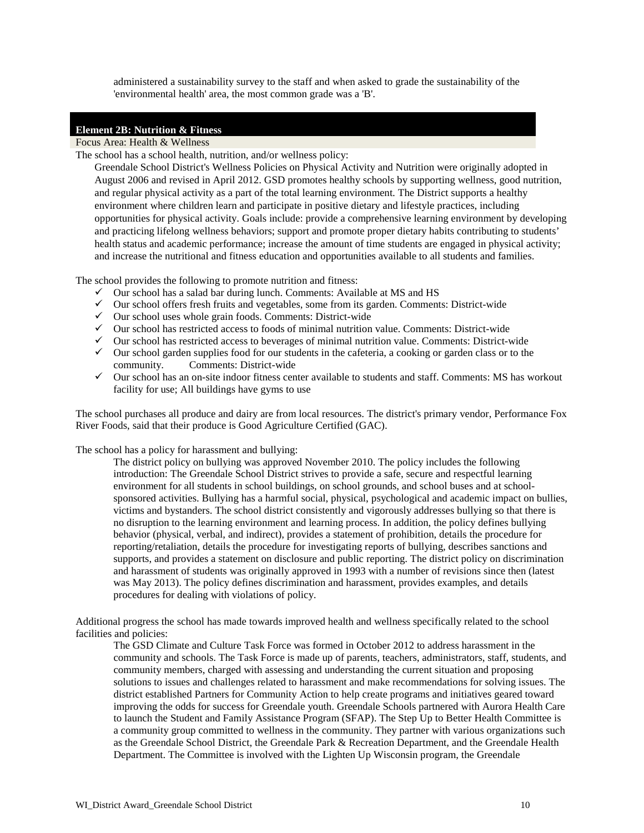administered a sustainability survey to the staff and when asked to grade the sustainability of the 'environmental health' area, the most common grade was a 'B'.

#### **Element 2B: Nutrition & Fitness**

Focus Area: Health & Wellness

The school has a school health, nutrition, and/or wellness policy:

Greendale School District's Wellness Policies on Physical Activity and Nutrition were originally adopted in August 2006 and revised in April 2012. GSD promotes healthy schools by supporting wellness, good nutrition, and regular physical activity as a part of the total learning environment. The District supports a healthy environment where children learn and participate in positive dietary and lifestyle practices, including opportunities for physical activity. Goals include: provide a comprehensive learning environment by developing and practicing lifelong wellness behaviors; support and promote proper dietary habits contributing to students' health status and academic performance; increase the amount of time students are engaged in physical activity; and increase the nutritional and fitness education and opportunities available to all students and families.

The school provides the following to promote nutrition and fitness:

- $\checkmark$  Our school has a salad bar during lunch. Comments: Available at MS and HS
- $\checkmark$  Our school offers fresh fruits and vegetables, some from its garden. Comments: District-wide
- $\checkmark$  Our school uses whole grain foods. Comments: District-wide
- $\checkmark$  Our school has restricted access to foods of minimal nutrition value. Comments: District-wide
- $\checkmark$  Our school has restricted access to beverages of minimal nutrition value. Comments: District-wide
- $\checkmark$  Our school garden supplies food for our students in the cafeteria, a cooking or garden class or to the community. Comments: District-wide Comments: District-wide
- $\checkmark$  Our school has an on-site indoor fitness center available to students and staff. Comments: MS has workout facility for use; All buildings have gyms to use

The school purchases all produce and dairy are from local resources. The district's primary vendor, Performance Fox River Foods, said that their produce is Good Agriculture Certified (GAC).

The school has a policy for harassment and bullying:

The district policy on bullying was approved November 2010. The policy includes the following introduction: The Greendale School District strives to provide a safe, secure and respectful learning environment for all students in school buildings, on school grounds, and school buses and at schoolsponsored activities. Bullying has a harmful social, physical, psychological and academic impact on bullies, victims and bystanders. The school district consistently and vigorously addresses bullying so that there is no disruption to the learning environment and learning process. In addition, the policy defines bullying behavior (physical, verbal, and indirect), provides a statement of prohibition, details the procedure for reporting/retaliation, details the procedure for investigating reports of bullying, describes sanctions and supports, and provides a statement on disclosure and public reporting. The district policy on discrimination and harassment of students was originally approved in 1993 with a number of revisions since then (latest was May 2013). The policy defines discrimination and harassment, provides examples, and details procedures for dealing with violations of policy.

Additional progress the school has made towards improved health and wellness specifically related to the school facilities and policies:

The GSD Climate and Culture Task Force was formed in October 2012 to address harassment in the community and schools. The Task Force is made up of parents, teachers, administrators, staff, students, and community members, charged with assessing and understanding the current situation and proposing solutions to issues and challenges related to harassment and make recommendations for solving issues. The district established Partners for Community Action to help create programs and initiatives geared toward improving the odds for success for Greendale youth. Greendale Schools partnered with Aurora Health Care to launch the Student and Family Assistance Program (SFAP). The Step Up to Better Health Committee is a community group committed to wellness in the community. They partner with various organizations such as the Greendale School District, the Greendale Park & Recreation Department, and the Greendale Health Department. The Committee is involved with the Lighten Up Wisconsin program, the Greendale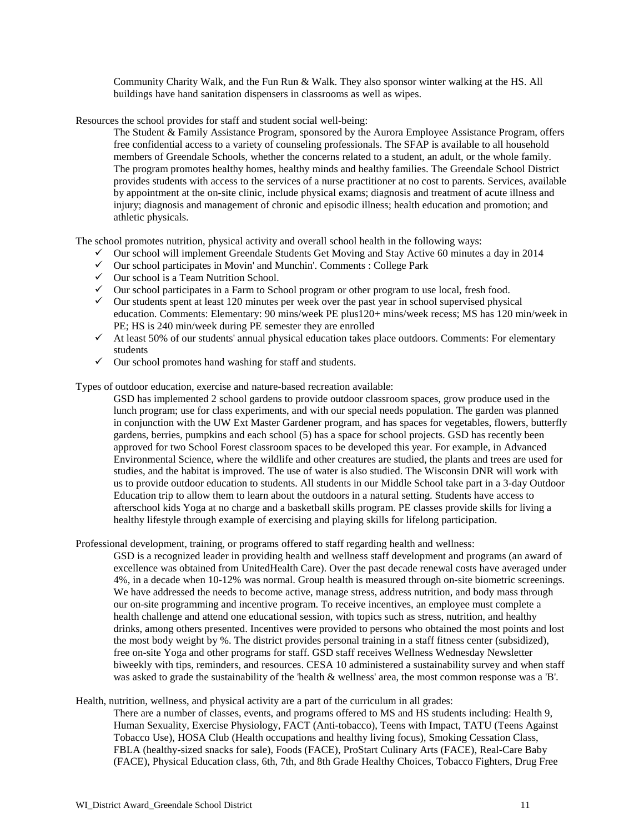Community Charity Walk, and the Fun Run & Walk. They also sponsor winter walking at the HS. All buildings have hand sanitation dispensers in classrooms as well as wipes.

Resources the school provides for staff and student social well-being:

The Student & Family Assistance Program, sponsored by the Aurora Employee Assistance Program, offers free confidential access to a variety of counseling professionals. The SFAP is available to all household members of Greendale Schools, whether the concerns related to a student, an adult, or the whole family. The program promotes healthy homes, healthy minds and healthy families. The Greendale School District provides students with access to the services of a nurse practitioner at no cost to parents. Services, available by appointment at the on-site clinic, include physical exams; diagnosis and treatment of acute illness and injury; diagnosis and management of chronic and episodic illness; health education and promotion; and athletic physicals.

The school promotes nutrition, physical activity and overall school health in the following ways:

- $\checkmark$  Our school will implement Greendale Students Get Moving and Stay Active 60 minutes a day in 2014
- $\checkmark$  Our school participates in Movin' and Munchin'. Comments : College Park
- $\checkmark$  Our school is a Team Nutrition School.
- $\checkmark$  Our school participates in a Farm to School program or other program to use local, fresh food.
- $\checkmark$  Our students spent at least 120 minutes per week over the past year in school supervised physical education. Comments: Elementary: 90 mins/week PE plus120+ mins/week recess; MS has 120 min/week in PE; HS is 240 min/week during PE semester they are enrolled
- $\checkmark$  At least 50% of our students' annual physical education takes place outdoors. Comments: For elementary students
- $\checkmark$  Our school promotes hand washing for staff and students.

Types of outdoor education, exercise and nature-based recreation available:

GSD has implemented 2 school gardens to provide outdoor classroom spaces, grow produce used in the lunch program; use for class experiments, and with our special needs population. The garden was planned in conjunction with the UW Ext Master Gardener program, and has spaces for vegetables, flowers, butterfly gardens, berries, pumpkins and each school (5) has a space for school projects. GSD has recently been approved for two School Forest classroom spaces to be developed this year. For example, in Advanced Environmental Science, where the wildlife and other creatures are studied, the plants and trees are used for studies, and the habitat is improved. The use of water is also studied. The Wisconsin DNR will work with us to provide outdoor education to students. All students in our Middle School take part in a 3-day Outdoor Education trip to allow them to learn about the outdoors in a natural setting. Students have access to afterschool kids Yoga at no charge and a basketball skills program. PE classes provide skills for living a healthy lifestyle through example of exercising and playing skills for lifelong participation.

Professional development, training, or programs offered to staff regarding health and wellness:

GSD is a recognized leader in providing health and wellness staff development and programs (an award of excellence was obtained from UnitedHealth Care). Over the past decade renewal costs have averaged under 4%, in a decade when 10-12% was normal. Group health is measured through on-site biometric screenings. We have addressed the needs to become active, manage stress, address nutrition, and body mass through our on-site programming and incentive program. To receive incentives, an employee must complete a health challenge and attend one educational session, with topics such as stress, nutrition, and healthy drinks, among others presented. Incentives were provided to persons who obtained the most points and lost the most body weight by %. The district provides personal training in a staff fitness center (subsidized), free on-site Yoga and other programs for staff. GSD staff receives Wellness Wednesday Newsletter biweekly with tips, reminders, and resources. CESA 10 administered a sustainability survey and when staff was asked to grade the sustainability of the 'health & wellness' area, the most common response was a 'B'.

Health, nutrition, wellness, and physical activity are a part of the curriculum in all grades:

There are a number of classes, events, and programs offered to MS and HS students including: Health 9, Human Sexuality, Exercise Physiology, FACT (Anti-tobacco), Teens with Impact, TATU (Teens Against Tobacco Use), HOSA Club (Health occupations and healthy living focus), Smoking Cessation Class, FBLA (healthy-sized snacks for sale), Foods (FACE), ProStart Culinary Arts (FACE), Real-Care Baby (FACE), Physical Education class, 6th, 7th, and 8th Grade Healthy Choices, Tobacco Fighters, Drug Free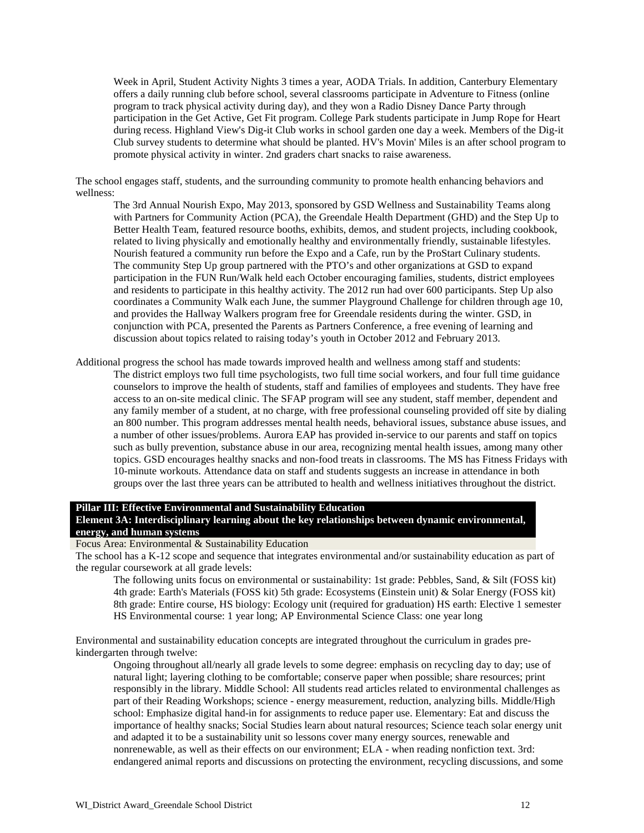Week in April, Student Activity Nights 3 times a year, AODA Trials. In addition, Canterbury Elementary offers a daily running club before school, several classrooms participate in Adventure to Fitness (online program to track physical activity during day), and they won a Radio Disney Dance Party through participation in the Get Active, Get Fit program. College Park students participate in Jump Rope for Heart during recess. Highland View's Dig-it Club works in school garden one day a week. Members of the Dig-it Club survey students to determine what should be planted. HV's Movin' Miles is an after school program to promote physical activity in winter. 2nd graders chart snacks to raise awareness.

The school engages staff, students, and the surrounding community to promote health enhancing behaviors and wellness:

The 3rd Annual Nourish Expo, May 2013, sponsored by GSD Wellness and Sustainability Teams along with Partners for Community Action (PCA), the Greendale Health Department (GHD) and the Step Up to Better Health Team, featured resource booths, exhibits, demos, and student projects, including cookbook, related to living physically and emotionally healthy and environmentally friendly, sustainable lifestyles. Nourish featured a community run before the Expo and a Cafe, run by the ProStart Culinary students. The community Step Up group partnered with the PTO's and other organizations at GSD to expand participation in the FUN Run/Walk held each October encouraging families, students, district employees and residents to participate in this healthy activity. The 2012 run had over 600 participants. Step Up also coordinates a Community Walk each June, the summer Playground Challenge for children through age 10, and provides the Hallway Walkers program free for Greendale residents during the winter. GSD, in conjunction with PCA, presented the Parents as Partners Conference, a free evening of learning and discussion about topics related to raising today's youth in October 2012 and February 2013.

Additional progress the school has made towards improved health and wellness among staff and students:

The district employs two full time psychologists, two full time social workers, and four full time guidance counselors to improve the health of students, staff and families of employees and students. They have free access to an on-site medical clinic. The SFAP program will see any student, staff member, dependent and any family member of a student, at no charge, with free professional counseling provided off site by dialing an 800 number. This program addresses mental health needs, behavioral issues, substance abuse issues, and a number of other issues/problems. Aurora EAP has provided in-service to our parents and staff on topics such as bully prevention, substance abuse in our area, recognizing mental health issues, among many other topics. GSD encourages healthy snacks and non-food treats in classrooms. The MS has Fitness Fridays with 10-minute workouts. Attendance data on staff and students suggests an increase in attendance in both groups over the last three years can be attributed to health and wellness initiatives throughout the district.

#### **Pillar III: Effective Environmental and Sustainability Education Element 3A: Interdisciplinary learning about the key relationships between dynamic environmental, energy, and human systems**

Focus Area: Environmental & Sustainability Education

The school has a K-12 scope and sequence that integrates environmental and/or sustainability education as part of the regular coursework at all grade levels:

The following units focus on environmental or sustainability: 1st grade: Pebbles, Sand, & Silt (FOSS kit) 4th grade: Earth's Materials (FOSS kit) 5th grade: Ecosystems (Einstein unit) & Solar Energy (FOSS kit) 8th grade: Entire course, HS biology: Ecology unit (required for graduation) HS earth: Elective 1 semester HS Environmental course: 1 year long; AP Environmental Science Class: one year long

Environmental and sustainability education concepts are integrated throughout the curriculum in grades prekindergarten through twelve:

Ongoing throughout all/nearly all grade levels to some degree: emphasis on recycling day to day; use of natural light; layering clothing to be comfortable; conserve paper when possible; share resources; print responsibly in the library. Middle School: All students read articles related to environmental challenges as part of their Reading Workshops; science - energy measurement, reduction, analyzing bills. Middle/High school: Emphasize digital hand-in for assignments to reduce paper use. Elementary: Eat and discuss the importance of healthy snacks; Social Studies learn about natural resources; Science teach solar energy unit and adapted it to be a sustainability unit so lessons cover many energy sources, renewable and nonrenewable, as well as their effects on our environment; ELA - when reading nonfiction text. 3rd: endangered animal reports and discussions on protecting the environment, recycling discussions, and some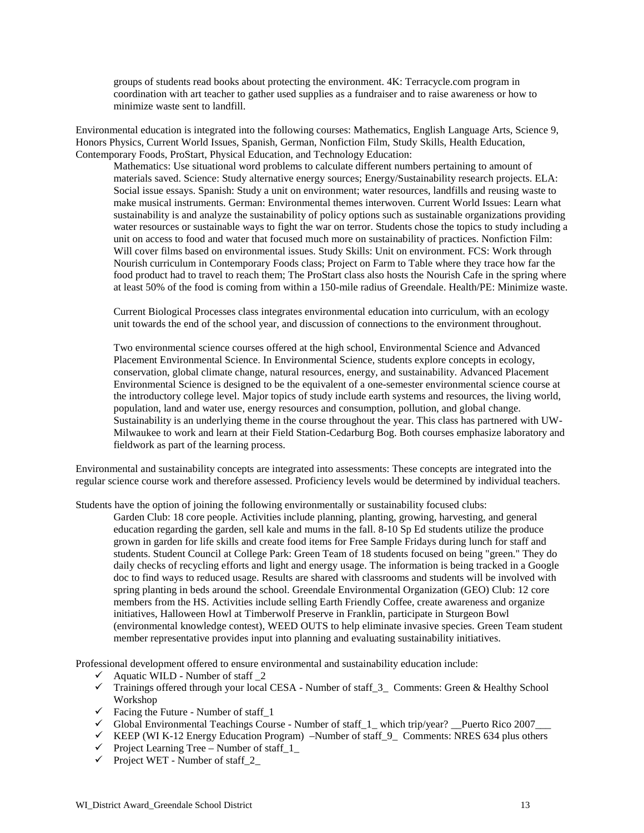groups of students read books about protecting the environment. 4K: Terracycle.com program in coordination with art teacher to gather used supplies as a fundraiser and to raise awareness or how to minimize waste sent to landfill.

Environmental education is integrated into the following courses: Mathematics, English Language Arts, Science 9, Honors Physics, Current World Issues, Spanish, German, Nonfiction Film, Study Skills, Health Education, Contemporary Foods, ProStart, Physical Education, and Technology Education:

Mathematics: Use situational word problems to calculate different numbers pertaining to amount of materials saved. Science: Study alternative energy sources; Energy/Sustainability research projects. ELA: Social issue essays. Spanish: Study a unit on environment; water resources, landfills and reusing waste to make musical instruments. German: Environmental themes interwoven. Current World Issues: Learn what sustainability is and analyze the sustainability of policy options such as sustainable organizations providing water resources or sustainable ways to fight the war on terror. Students chose the topics to study including a unit on access to food and water that focused much more on sustainability of practices. Nonfiction Film: Will cover films based on environmental issues. Study Skills: Unit on environment. FCS: Work through Nourish curriculum in Contemporary Foods class; Project on Farm to Table where they trace how far the food product had to travel to reach them; The ProStart class also hosts the Nourish Cafe in the spring where at least 50% of the food is coming from within a 150-mile radius of Greendale. Health/PE: Minimize waste.

Current Biological Processes class integrates environmental education into curriculum, with an ecology unit towards the end of the school year, and discussion of connections to the environment throughout.

Two environmental science courses offered at the high school, Environmental Science and Advanced Placement Environmental Science. In Environmental Science, students explore concepts in ecology, conservation, global climate change, natural resources, energy, and sustainability. Advanced Placement Environmental Science is designed to be the equivalent of a one-semester environmental science course at the introductory college level. Major topics of study include earth systems and resources, the living world, population, land and water use, energy resources and consumption, pollution, and global change. Sustainability is an underlying theme in the course throughout the year. This class has partnered with UW-Milwaukee to work and learn at their Field Station-Cedarburg Bog. Both courses emphasize laboratory and fieldwork as part of the learning process.

Environmental and sustainability concepts are integrated into assessments: These concepts are integrated into the regular science course work and therefore assessed. Proficiency levels would be determined by individual teachers.

Students have the option of joining the following environmentally or sustainability focused clubs:

Garden Club: 18 core people. Activities include planning, planting, growing, harvesting, and general education regarding the garden, sell kale and mums in the fall. 8-10 Sp Ed students utilize the produce grown in garden for life skills and create food items for Free Sample Fridays during lunch for staff and students. Student Council at College Park: Green Team of 18 students focused on being "green." They do daily checks of recycling efforts and light and energy usage. The information is being tracked in a Google doc to find ways to reduced usage. Results are shared with classrooms and students will be involved with spring planting in beds around the school. Greendale Environmental Organization (GEO) Club: 12 core members from the HS. Activities include selling Earth Friendly Coffee, create awareness and organize initiatives, Halloween Howl at Timberwolf Preserve in Franklin, participate in Sturgeon Bowl (environmental knowledge contest), WEED OUTS to help eliminate invasive species. Green Team student member representative provides input into planning and evaluating sustainability initiatives.

Professional development offered to ensure environmental and sustainability education include:

- $\checkmark$  Aquatic WILD Number of staff 2
- $\checkmark$  Trainings offered through your local CESA Number of staff\_3\_ Comments: Green & Healthy School Workshop
- $\checkmark$  Facing the Future Number of staff\_1
- Global Environmental Teachings Course Number of staff  $1$  which trip/year? Puerto Rico 2007
- $\checkmark$  KEEP (WI K-12 Energy Education Program) –Number of staff  $9$  Comments: NRES 634 plus others
- $\checkmark$  Project Learning Tree Number of staff\_1
- $\checkmark$  Project WET Number of staff\_2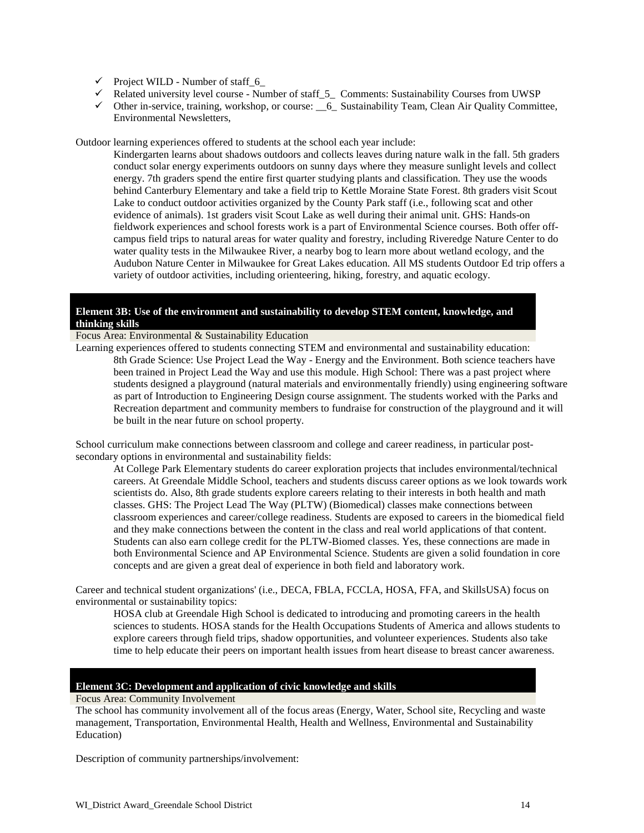- $\checkmark$  Project WILD Number of staff\_6\_
- $\checkmark$  Related university level course Number of staff\_5\_ Comments: Sustainability Courses from UWSP
- Other in-service, training, workshop, or course: \_\_6\_ Sustainability Team, Clean Air Quality Committee, Environmental Newsletters,

Outdoor learning experiences offered to students at the school each year include:

Kindergarten learns about shadows outdoors and collects leaves during nature walk in the fall. 5th graders conduct solar energy experiments outdoors on sunny days where they measure sunlight levels and collect energy. 7th graders spend the entire first quarter studying plants and classification. They use the woods behind Canterbury Elementary and take a field trip to Kettle Moraine State Forest. 8th graders visit Scout Lake to conduct outdoor activities organized by the County Park staff (i.e., following scat and other evidence of animals). 1st graders visit Scout Lake as well during their animal unit. GHS: Hands-on fieldwork experiences and school forests work is a part of Environmental Science courses. Both offer offcampus field trips to natural areas for water quality and forestry, including Riveredge Nature Center to do water quality tests in the Milwaukee River, a nearby bog to learn more about wetland ecology, and the Audubon Nature Center in Milwaukee for Great Lakes education. All MS students Outdoor Ed trip offers a variety of outdoor activities, including orienteering, hiking, forestry, and aquatic ecology.

#### **Element 3B: Use of the environment and sustainability to develop STEM content, knowledge, and thinking skills**

Focus Area: Environmental & Sustainability Education

Learning experiences offered to students connecting STEM and environmental and sustainability education: 8th Grade Science: Use Project Lead the Way - Energy and the Environment. Both science teachers have been trained in Project Lead the Way and use this module. High School: There was a past project where students designed a playground (natural materials and environmentally friendly) using engineering software as part of Introduction to Engineering Design course assignment. The students worked with the Parks and Recreation department and community members to fundraise for construction of the playground and it will be built in the near future on school property.

School curriculum make connections between classroom and college and career readiness, in particular postsecondary options in environmental and sustainability fields:

At College Park Elementary students do career exploration projects that includes environmental/technical careers. At Greendale Middle School, teachers and students discuss career options as we look towards work scientists do. Also, 8th grade students explore careers relating to their interests in both health and math classes. GHS: The Project Lead The Way (PLTW) (Biomedical) classes make connections between classroom experiences and career/college readiness. Students are exposed to careers in the biomedical field and they make connections between the content in the class and real world applications of that content. Students can also earn college credit for the PLTW-Biomed classes. Yes, these connections are made in both Environmental Science and AP Environmental Science. Students are given a solid foundation in core concepts and are given a great deal of experience in both field and laboratory work.

Career and technical student organizations' (i.e., DECA, FBLA, FCCLA, HOSA, FFA, and SkillsUSA) focus on environmental or sustainability topics:

HOSA club at Greendale High School is dedicated to introducing and promoting careers in the health sciences to students. HOSA stands for the Health Occupations Students of America and allows students to explore careers through field trips, shadow opportunities, and volunteer experiences. Students also take time to help educate their peers on important health issues from heart disease to breast cancer awareness.

#### **Element 3C: Development and application of civic knowledge and skills**

Focus Area: Community Involvement

The school has community involvement all of the focus areas (Energy, Water, School site, Recycling and waste management, Transportation, Environmental Health, Health and Wellness, Environmental and Sustainability Education)

Description of community partnerships/involvement: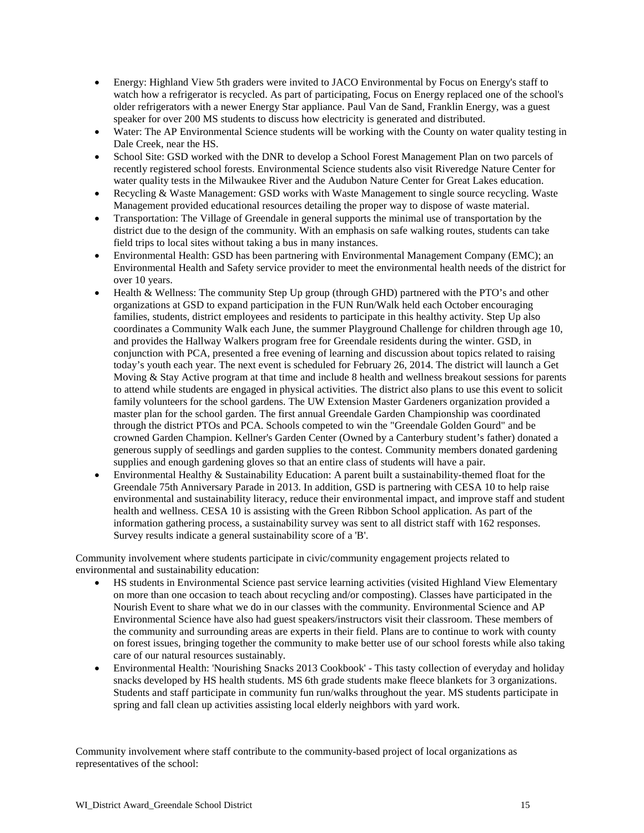- Energy: Highland View 5th graders were invited to JACO Environmental by Focus on Energy's staff to watch how a refrigerator is recycled. As part of participating, Focus on Energy replaced one of the school's older refrigerators with a newer Energy Star appliance. Paul Van de Sand, Franklin Energy, was a guest speaker for over 200 MS students to discuss how electricity is generated and distributed.
- Water: The AP Environmental Science students will be working with the County on water quality testing in Dale Creek, near the HS.
- School Site: GSD worked with the DNR to develop a School Forest Management Plan on two parcels of recently registered school forests. Environmental Science students also visit Riveredge Nature Center for water quality tests in the Milwaukee River and the Audubon Nature Center for Great Lakes education.
- Recycling & Waste Management: GSD works with Waste Management to single source recycling. Waste Management provided educational resources detailing the proper way to dispose of waste material.
- Transportation: The Village of Greendale in general supports the minimal use of transportation by the district due to the design of the community. With an emphasis on safe walking routes, students can take field trips to local sites without taking a bus in many instances.
- Environmental Health: GSD has been partnering with Environmental Management Company (EMC); an Environmental Health and Safety service provider to meet the environmental health needs of the district for over 10 years.
- Health & Wellness: The community Step Up group (through GHD) partnered with the PTO's and other organizations at GSD to expand participation in the FUN Run/Walk held each October encouraging families, students, district employees and residents to participate in this healthy activity. Step Up also coordinates a Community Walk each June, the summer Playground Challenge for children through age 10, and provides the Hallway Walkers program free for Greendale residents during the winter. GSD, in conjunction with PCA, presented a free evening of learning and discussion about topics related to raising today's youth each year. The next event is scheduled for February 26, 2014. The district will launch a Get Moving & Stay Active program at that time and include 8 health and wellness breakout sessions for parents to attend while students are engaged in physical activities. The district also plans to use this event to solicit family volunteers for the school gardens. The UW Extension Master Gardeners organization provided a master plan for the school garden. The first annual Greendale Garden Championship was coordinated through the district PTOs and PCA. Schools competed to win the "Greendale Golden Gourd" and be crowned Garden Champion. Kellner's Garden Center (Owned by a Canterbury student's father) donated a generous supply of seedlings and garden supplies to the contest. Community members donated gardening supplies and enough gardening gloves so that an entire class of students will have a pair.
- Environmental Healthy & Sustainability Education: A parent built a sustainability-themed float for the Greendale 75th Anniversary Parade in 2013. In addition, GSD is partnering with CESA 10 to help raise environmental and sustainability literacy, reduce their environmental impact, and improve staff and student health and wellness. CESA 10 is assisting with the Green Ribbon School application. As part of the information gathering process, a sustainability survey was sent to all district staff with 162 responses. Survey results indicate a general sustainability score of a 'B'.

Community involvement where students participate in civic/community engagement projects related to environmental and sustainability education:

- HS students in Environmental Science past service learning activities (visited Highland View Elementary on more than one occasion to teach about recycling and/or composting). Classes have participated in the Nourish Event to share what we do in our classes with the community. Environmental Science and AP Environmental Science have also had guest speakers/instructors visit their classroom. These members of the community and surrounding areas are experts in their field. Plans are to continue to work with county on forest issues, bringing together the community to make better use of our school forests while also taking care of our natural resources sustainably.
- Environmental Health: 'Nourishing Snacks 2013 Cookbook' This tasty collection of everyday and holiday snacks developed by HS health students. MS 6th grade students make fleece blankets for 3 organizations. Students and staff participate in community fun run/walks throughout the year. MS students participate in spring and fall clean up activities assisting local elderly neighbors with yard work.

Community involvement where staff contribute to the community-based project of local organizations as representatives of the school: